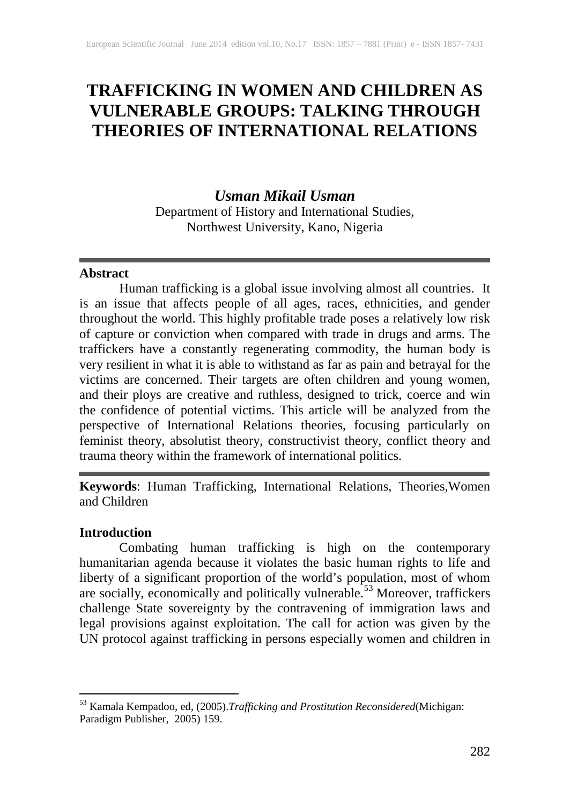# **TRAFFICKING IN WOMEN AND CHILDREN AS VULNERABLE GROUPS: TALKING THROUGH THEORIES OF INTERNATIONAL RELATIONS**

# *Usman Mikail Usman*

Department of History and International Studies, Northwest University, Kano, Nigeria

# **Abstract**

Human trafficking is a global issue involving almost all countries. It is an issue that affects people of all ages, races, ethnicities, and gender throughout the world. This highly profitable trade poses a relatively low risk of capture or conviction when compared with trade in drugs and arms. The traffickers have a constantly regenerating commodity, the human body is very resilient in what it is able to withstand as far as pain and betrayal for the victims are concerned. Their targets are often children and young women, and their ploys are creative and ruthless, designed to trick, coerce and win the confidence of potential victims. This article will be analyzed from the perspective of International Relations theories, focusing particularly on feminist theory, absolutist theory, constructivist theory, conflict theory and trauma theory within the framework of international politics.

**Keywords**: Human Trafficking, International Relations, Theories,Women and Children

# **Introduction**

Combating human trafficking is high on the contemporary humanitarian agenda because it violates the basic human rights to life and liberty of a significant proportion of the world's population, most of whom are socially, economically and politically vulnerable.<sup>[53](#page-0-0)</sup> Moreover, traffickers challenge State sovereignty by the contravening of immigration laws and legal provisions against exploitation. The call for action was given by the UN protocol against trafficking in persons especially women and children in

<span id="page-0-0"></span><sup>53</sup> Kamala Kempadoo, ed, (2005).*Trafficking and Prostitution Reconsidered*(Michigan: Paradigm Publisher, 2005) 159.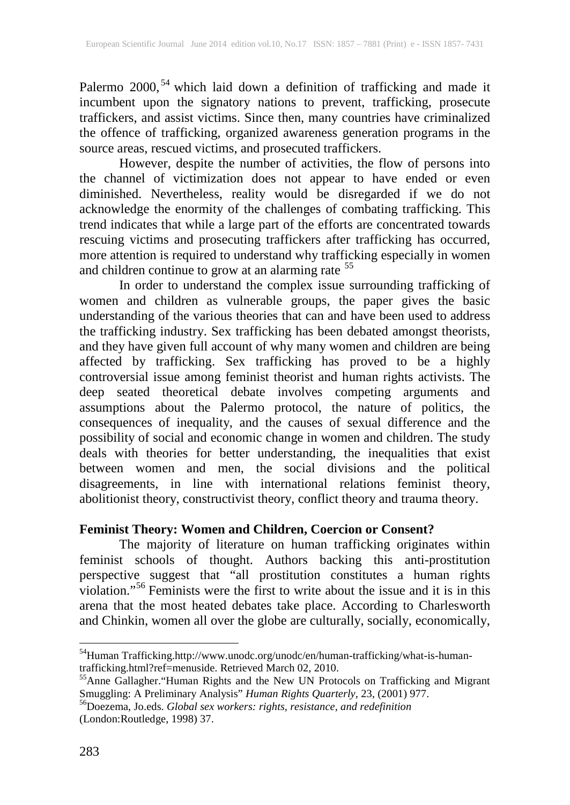Palermo 2000,<sup>[54](#page-1-0)</sup> which laid down a definition of trafficking and made it incumbent upon the signatory nations to prevent, trafficking, prosecute traffickers, and assist victims. Since then, many countries have criminalized the offence of trafficking, organized awareness generation programs in the source areas, rescued victims, and prosecuted traffickers.

However, despite the number of activities, the flow of persons into the channel of victimization does not appear to have ended or even diminished. Nevertheless, reality would be disregarded if we do not acknowledge the enormity of the challenges of combating trafficking. This trend indicates that while a large part of the efforts are concentrated towards rescuing victims and prosecuting traffickers after trafficking has occurred, more attention is required to understand why trafficking especially in women and children continue to grow at an alarming rate <sup>[55](#page-1-1)</sup>

In order to understand the complex issue surrounding trafficking of women and children as vulnerable groups, the paper gives the basic understanding of the various theories that can and have been used to address the trafficking industry. Sex trafficking has been debated amongst theorists, and they have given full account of why many women and children are being affected by trafficking. Sex trafficking has proved to be a highly controversial issue among feminist theorist and human rights activists. The deep seated theoretical debate involves competing arguments and assumptions about the Palermo protocol, the nature of politics, the consequences of inequality, and the causes of sexual difference and the possibility of social and economic change in women and children. The study deals with theories for better understanding, the inequalities that exist between women and men, the social divisions and the political disagreements, in line with international relations feminist theory, abolitionist theory, constructivist theory, conflict theory and trauma theory.

# **Feminist Theory: Women and Children, Coercion or Consent?**

The majority of literature on human trafficking originates within feminist schools of thought. Authors backing this anti-prostitution perspective suggest that "all prostitution constitutes a human rights violation."<sup>[56](#page-1-2)</sup> Feminists were the first to write about the issue and it is in this arena that the most heated debates take place. According to Charlesworth and Chinkin, women all over the globe are culturally, socially, economically,

<span id="page-1-0"></span><sup>&</sup>lt;sup>54</sup>Human Trafficking.http://www.unodc.org/unodc/en/human-trafficking/what-is-human-trafficking.html?ref=menuside. Retrieved March 02, 2010.

<span id="page-1-1"></span>trafficking.html?ref=menuside. Retrieved March 02, 2010.<br><sup>55</sup>Anne Gallagher."Human Rights and the New UN Protocols on Trafficking and Migrant

<span id="page-1-2"></span>Smuggling: A Preliminary Analysis" *Human Rights Quarterly*, 23, (2001) 977.<br><sup>56</sup>Doezema, Jo.eds. *Global sex workers: rights, resistance, and redefinition* (London:Routledge, 1998) 37.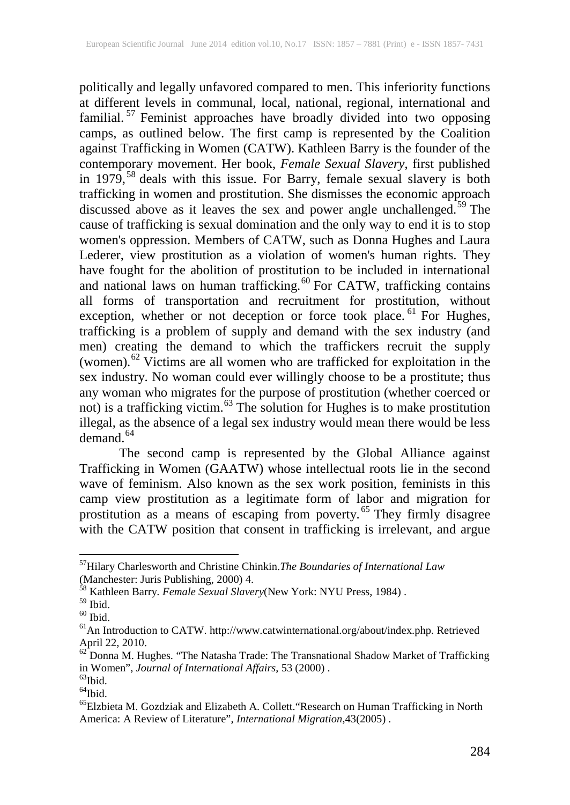politically and legally unfavored compared to men. This inferiority functions at different levels in communal, local, national, regional, international and familial.<sup>[57](#page-2-0)</sup> Feminist approaches have broadly divided into two opposing camps, as outlined below. The first camp is represented by the Coalition against Trafficking in Women (CATW). Kathleen Barry is the founder of the contemporary movement. Her book, *Female Sexual Slavery*, first published in 1979,<sup>[58](#page-2-1)</sup> deals with this issue. For Barry, female sexual slavery is both trafficking in women and prostitution. She dismisses the economic approach discussed above as it leaves the sex and power angle unchallenged.<sup>[59](#page-2-2)</sup> The cause of trafficking is sexual domination and the only way to end it is to stop women's oppression. Members of CATW, such as Donna Hughes and Laura Lederer, view prostitution as a violation of women's human rights. They have fought for the abolition of prostitution to be included in international and national laws on human trafficking.<sup>[60](#page-2-3)</sup> For CATW, trafficking contains all forms of transportation and recruitment for prostitution, without exception, whether or not deception or force took place.<sup>[61](#page-2-4)</sup> For Hughes, trafficking is a problem of supply and demand with the sex industry (and men) creating the demand to which the traffickers recruit the supply (women). $62$  Victims are all women who are trafficked for exploitation in the sex industry. No woman could ever willingly choose to be a prostitute; thus any woman who migrates for the purpose of prostitution (whether coerced or not) is a trafficking victim.<sup>[63](#page-2-6)</sup> The solution for Hughes is to make prostitution illegal, as the absence of a legal sex industry would mean there would be less  $d$ emand.<sup>[64](#page-2-7)</sup>

The second camp is represented by the Global Alliance against Trafficking in Women (GAATW) whose intellectual roots lie in the second wave of feminism. Also known as the sex work position, feminists in this camp view prostitution as a legitimate form of labor and migration for prostitution as a means of escaping from poverty. [65](#page-2-8) They firmly disagree with the CATW position that consent in trafficking is irrelevant, and argue

<span id="page-2-0"></span>57Hilary Charlesworth and Christine Chinkin.*The Boundaries of International Law* (Manchester: Juris Publishing, 2000) 4.<br><sup>58</sup> Kathleen Barry. *Female Sexual Slavery*(New York: NYU Press, 1984) .<br><sup>60</sup> Ibid. 60 Ibid. 61An Introduction to CATW. http://www.catwinternational.org/about/index.php. Retrieved

<span id="page-2-1"></span>

<span id="page-2-2"></span>

<span id="page-2-3"></span>

<span id="page-2-5"></span><span id="page-2-4"></span>April 22, 2010.<br><sup>62</sup> Donna M. Hughes. "The Natasha Trade: The Transnational Shadow Market of Trafficking in Women", *Journal of International Affairs*, 53 (2000).

<span id="page-2-8"></span><span id="page-2-7"></span>

<span id="page-2-6"></span><sup>&</sup>lt;sup>63</sup>Ibid.<br><sup>64</sup>Ibid.<br><sup>65</sup>Elzbieta M. Gozdziak and Elizabeth A. Collett."Research on Human Trafficking in North America: A Review of Literature", *International Migration*,43(2005) .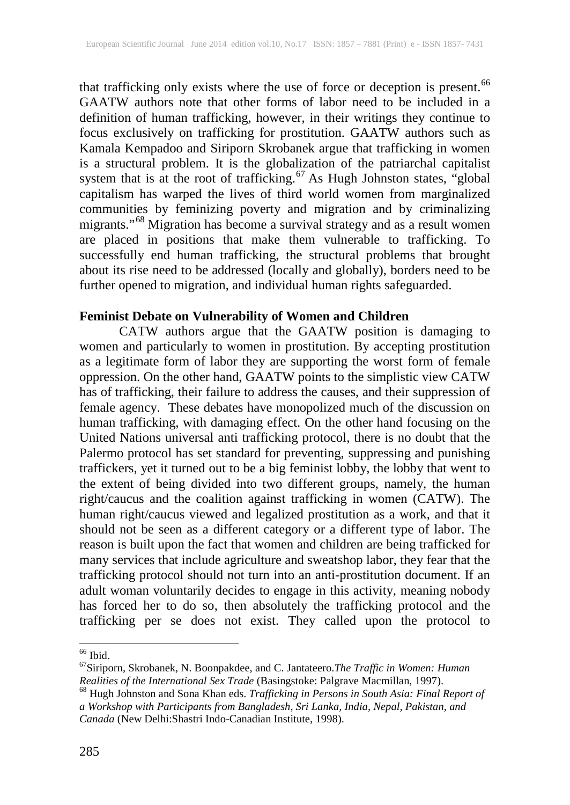that trafficking only exists where the use of force or deception is present.<sup>[66](#page-3-0)</sup> GAATW authors note that other forms of labor need to be included in a definition of human trafficking, however, in their writings they continue to focus exclusively on trafficking for prostitution. GAATW authors such as Kamala Kempadoo and Siriporn Skrobanek argue that trafficking in women is a structural problem. It is the globalization of the patriarchal capitalist system that is at the root of trafficking.<sup>[67](#page-3-1)</sup> As Hugh Johnston states, "global capitalism has warped the lives of third world women from marginalized communities by feminizing poverty and migration and by criminalizing migrants."<sup>[68](#page-3-2)</sup> Migration has become a survival strategy and as a result women are placed in positions that make them vulnerable to trafficking. To successfully end human trafficking, the structural problems that brought about its rise need to be addressed (locally and globally), borders need to be further opened to migration, and individual human rights safeguarded.

# **Feminist Debate on Vulnerability of Women and Children**

CATW authors argue that the GAATW position is damaging to women and particularly to women in prostitution. By accepting prostitution as a legitimate form of labor they are supporting the worst form of female oppression. On the other hand, GAATW points to the simplistic view CATW has of trafficking, their failure to address the causes, and their suppression of female agency. These debates have monopolized much of the discussion on human trafficking, with damaging effect. On the other hand focusing on the United Nations universal anti trafficking protocol, there is no doubt that the Palermo protocol has set standard for preventing, suppressing and punishing traffickers, yet it turned out to be a big feminist lobby, the lobby that went to the extent of being divided into two different groups, namely, the human right/caucus and the coalition against trafficking in women (CATW). The human right/caucus viewed and legalized prostitution as a work, and that it should not be seen as a different category or a different type of labor. The reason is built upon the fact that women and children are being trafficked for many services that include agriculture and sweatshop labor, they fear that the trafficking protocol should not turn into an anti-prostitution document. If an adult woman voluntarily decides to engage in this activity, meaning nobody has forced her to do so, then absolutely the trafficking protocol and the trafficking per se does not exist. They called upon the protocol to

<span id="page-3-1"></span><span id="page-3-0"></span><sup>&</sup>lt;sup>66</sup> Ibid.<br><sup>67</sup>Siriporn, Skrobanek, N. Boonpakdee, and C. Jantateero.*The Traffic in Women: Human Realities of the International Sex Trade* (Basingstoke: Palgrave Macmillan, 1997).

<span id="page-3-2"></span>*Realities of the International Sex Trade* (Basingstoke: Palgrave Macmillan, 1997). <sup>68</sup> Hugh Johnston and Sona Khan eds. *Trafficking in Persons in South Asia: Final Report of a Workshop with Participants from Bangladesh, Sri Lanka, India, Nepal, Pakistan, and Canada* (New Delhi:Shastri Indo-Canadian Institute, 1998).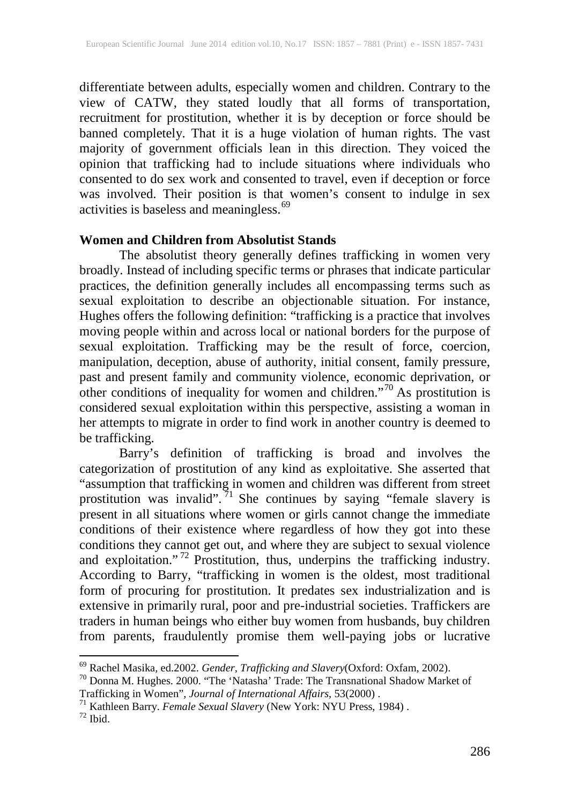differentiate between adults, especially women and children. Contrary to the view of CATW, they stated loudly that all forms of transportation, recruitment for prostitution, whether it is by deception or force should be banned completely. That it is a huge violation of human rights. The vast majority of government officials lean in this direction. They voiced the opinion that trafficking had to include situations where individuals who consented to do sex work and consented to travel, even if deception or force was involved. Their position is that women's consent to indulge in sex activities is baseless and meaningless. [69](#page-4-0)

#### **Women and Children from Absolutist Stands**

The absolutist theory generally defines trafficking in women very broadly. Instead of including specific terms or phrases that indicate particular practices, the definition generally includes all encompassing terms such as sexual exploitation to describe an objectionable situation. For instance, Hughes offers the following definition: "trafficking is a practice that involves moving people within and across local or national borders for the purpose of sexual exploitation. Trafficking may be the result of force, coercion, manipulation, deception, abuse of authority, initial consent, family pressure, past and present family and community violence, economic deprivation, or other conditions of inequality for women and children."<sup>[70](#page-4-1)</sup> As prostitution is considered sexual exploitation within this perspective, assisting a woman in her attempts to migrate in order to find work in another country is deemed to be trafficking.

Barry's definition of trafficking is broad and involves the categorization of prostitution of any kind as exploitative. She asserted that "assumption that trafficking in women and children was different from street prostitution was invalid". <sup>[71](#page-4-2)</sup> She continues by saying "female slavery is present in all situations where women or girls cannot change the immediate conditions of their existence where regardless of how they got into these conditions they cannot get out, and where they are subject to sexual violence and exploitation."<sup>[72](#page-4-3)</sup> Prostitution, thus, underpins the trafficking industry. According to Barry, "trafficking in women is the oldest, most traditional form of procuring for prostitution. It predates sex industrialization and is extensive in primarily rural, poor and pre-industrial societies. Traffickers are traders in human beings who either buy women from husbands, buy children from parents, fraudulently promise them well-paying jobs or lucrative

<span id="page-4-1"></span><span id="page-4-0"></span><sup>69</sup> Rachel Masika, ed.2002. *Gender, Trafficking and Slavery*(Oxford: Oxfam, 2002). <sup>70</sup> Donna M. Hughes. 2000. "The 'Natasha' Trade: The Transnational Shadow Market of Trafficking in Women", *Journal of International Affairs*, 53(2000) . <sup>71</sup> Kathleen Barry. *Female Sexual Slavery* (New York: NYU Press, 1984) . <sup>72</sup> Ibid.

<span id="page-4-2"></span>

<span id="page-4-3"></span>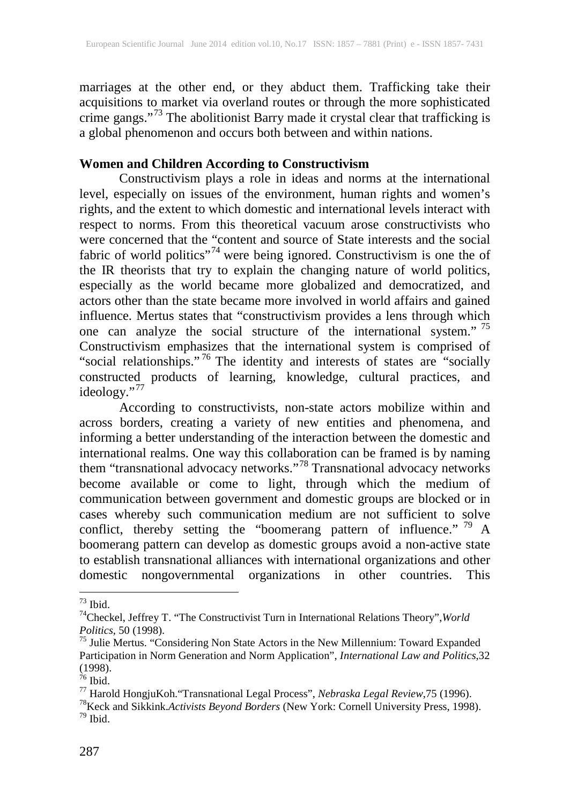marriages at the other end, or they abduct them. Trafficking take their acquisitions to market via overland routes or through the more sophisticated crime gangs."<sup>[73](#page-5-0)</sup> The abolitionist Barry made it crystal clear that trafficking is a global phenomenon and occurs both between and within nations.

#### **Women and Children According to Constructivism**

Constructivism plays a role in ideas and norms at the international level, especially on issues of the environment, human rights and women's rights, and the extent to which domestic and international levels interact with respect to norms. From this theoretical vacuum arose constructivists who were concerned that the "content and source of State interests and the social fabric of world politics"<sup>[74](#page-5-1)</sup> were being ignored. Constructivism is one the of the IR theorists that try to explain the changing nature of world politics, especially as the world became more globalized and democratized, and actors other than the state became more involved in world affairs and gained influence. Mertus states that "constructivism provides a lens through which one can analyze the social structure of the international system."<sup>[75](#page-5-2)</sup> Constructivism emphasizes that the international system is comprised of "social relationships."<sup>[76](#page-5-3)</sup> The identity and interests of states are "socially constructed products of learning, knowledge, cultural practices, and ideology."<sup>[77](#page-5-4)</sup>

According to constructivists, non-state actors mobilize within and across borders, creating a variety of new entities and phenomena, and informing a better understanding of the interaction between the domestic and international realms. One way this collaboration can be framed is by naming them "transnational advocacy networks."<sup>[78](#page-5-5)</sup> Transnational advocacy networks become available or come to light, through which the medium of communication between government and domestic groups are blocked or in cases whereby such communication medium are not sufficient to solve conflict, thereby setting the "boomerang pattern of influence."  $^{79}$  $^{79}$  $^{79}$  A boomerang pattern can develop as domestic groups avoid a non-active state to establish transnational alliances with international organizations and other domestic nongovernmental organizations in other countries. This

<span id="page-5-1"></span><span id="page-5-0"></span><sup>73</sup> Ibid. 74Checkel, Jeffrey T. "The Constructivist Turn in International Relations Theory",*World* 

<span id="page-5-2"></span>*Politics*, 50 (1998).<br><sup>75</sup> Julie Mertus. "Considering Non State Actors in the New Millennium: Toward Expanded Participation in Norm Generation and Norm Application", *International Law and Politics*,32

<span id="page-5-6"></span><span id="page-5-5"></span><span id="page-5-4"></span>

<span id="page-5-3"></span><sup>1998).&</sup>lt;br><sup>76</sup> Ibid.<br><sup>77</sup> Harold HongjuKoh."Transnational Legal Process", *Nebraska Legal Review*,75 (1996).<br><sup>78</sup>Keck and Sikkink.*Activists Beyond Borders* (New York: Cornell University Press, 1998).<br><sup>79</sup> Ibid.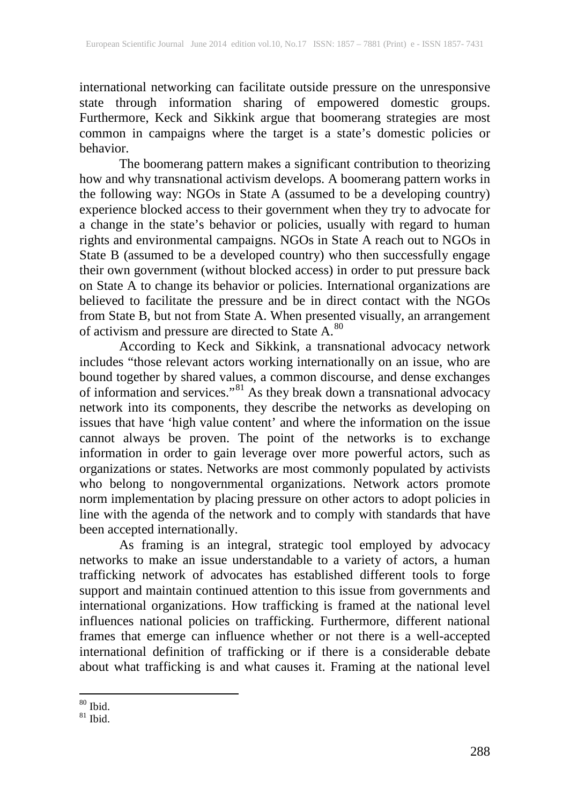international networking can facilitate outside pressure on the unresponsive state through information sharing of empowered domestic groups. Furthermore, Keck and Sikkink argue that boomerang strategies are most common in campaigns where the target is a state's domestic policies or behavior.

The boomerang pattern makes a significant contribution to theorizing how and why transnational activism develops. A boomerang pattern works in the following way: NGOs in State A (assumed to be a developing country) experience blocked access to their government when they try to advocate for a change in the state's behavior or policies, usually with regard to human rights and environmental campaigns. NGOs in State A reach out to NGOs in State B (assumed to be a developed country) who then successfully engage their own government (without blocked access) in order to put pressure back on State A to change its behavior or policies. International organizations are believed to facilitate the pressure and be in direct contact with the NGOs from State B, but not from State A. When presented visually, an arrangement of activism and pressure are directed to State A.<sup>[80](#page-6-0)</sup>

According to Keck and Sikkink, a transnational advocacy network includes "those relevant actors working internationally on an issue, who are bound together by shared values, a common discourse, and dense exchanges of information and services."<sup>[81](#page-6-1)</sup> As they break down a transnational advocacy network into its components, they describe the networks as developing on issues that have 'high value content' and where the information on the issue cannot always be proven. The point of the networks is to exchange information in order to gain leverage over more powerful actors, such as organizations or states. Networks are most commonly populated by activists who belong to nongovernmental organizations. Network actors promote norm implementation by placing pressure on other actors to adopt policies in line with the agenda of the network and to comply with standards that have been accepted internationally.

As framing is an integral, strategic tool employed by advocacy networks to make an issue understandable to a variety of actors, a human trafficking network of advocates has established different tools to forge support and maintain continued attention to this issue from governments and international organizations. How trafficking is framed at the national level influences national policies on trafficking. Furthermore, different national frames that emerge can influence whether or not there is a well-accepted international definition of trafficking or if there is a considerable debate about what trafficking is and what causes it. Framing at the national level

<span id="page-6-1"></span><span id="page-6-0"></span> $\frac{80}{81}$  Ibid.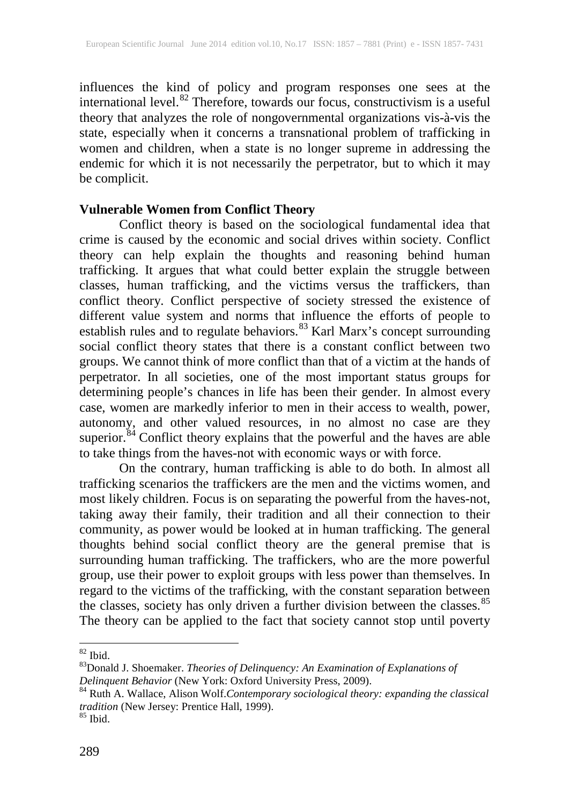influences the kind of policy and program responses one sees at the international level. $82$  Therefore, towards our focus, constructivism is a useful theory that analyzes the role of nongovernmental organizations vis-à-vis the state, especially when it concerns a transnational problem of trafficking in women and children, when a state is no longer supreme in addressing the endemic for which it is not necessarily the perpetrator, but to which it may be complicit.

# **Vulnerable Women from Conflict Theory**

Conflict theory is based on the sociological fundamental idea that crime is caused by the economic and social drives within society. Conflict theory can help explain the thoughts and reasoning behind human trafficking. It argues that what could better explain the struggle between classes, human trafficking, and the victims versus the traffickers, than conflict theory. Conflict perspective of society stressed the existence of different value system and norms that influence the efforts of people to establish rules and to regulate behaviors.<sup>[83](#page-7-1)</sup> Karl Marx's concept surrounding social conflict theory states that there is a constant conflict between two groups. We cannot think of more conflict than that of a victim at the hands of perpetrator. In all societies, one of the most important status groups for determining people's chances in life has been their gender. In almost every case, women are markedly inferior to men in their access to wealth, power, autonomy, and other valued resources, in no almost no case are they superior.<sup>[84](#page-7-2)</sup> Conflict theory explains that the powerful and the haves are able to take things from the haves-not with economic ways or with force.

On the contrary, human trafficking is able to do both. In almost all trafficking scenarios the traffickers are the men and the victims women, and most likely children. Focus is on separating the powerful from the haves-not, taking away their family, their tradition and all their connection to their community, as power would be looked at in human trafficking. The general thoughts behind social conflict theory are the general premise that is surrounding human trafficking. The traffickers, who are the more powerful group, use their power to exploit groups with less power than themselves. In regard to the victims of the trafficking, with the constant separation between the classes, society has only driven a further division between the classes.<sup>[85](#page-7-3)</sup> The theory can be applied to the fact that society cannot stop until poverty

<span id="page-7-1"></span><span id="page-7-0"></span><sup>&</sup>lt;sup>82</sup> Ibid.<br><sup>83</sup>Donald J. Shoemaker. *Theories of Delinquency: An Examination of Explanations of Delinquent Behavior (New York: Oxford University Press, 2009).* 

<span id="page-7-2"></span><sup>&</sup>lt;sup>84</sup> Ruth A. Wallace, Alison Wolf.*Contemporary sociological theory: expanding the classical tradition* (New Jersey: Prentice Hall, 1999).<br><sup>85</sup> Ibid.

<span id="page-7-3"></span>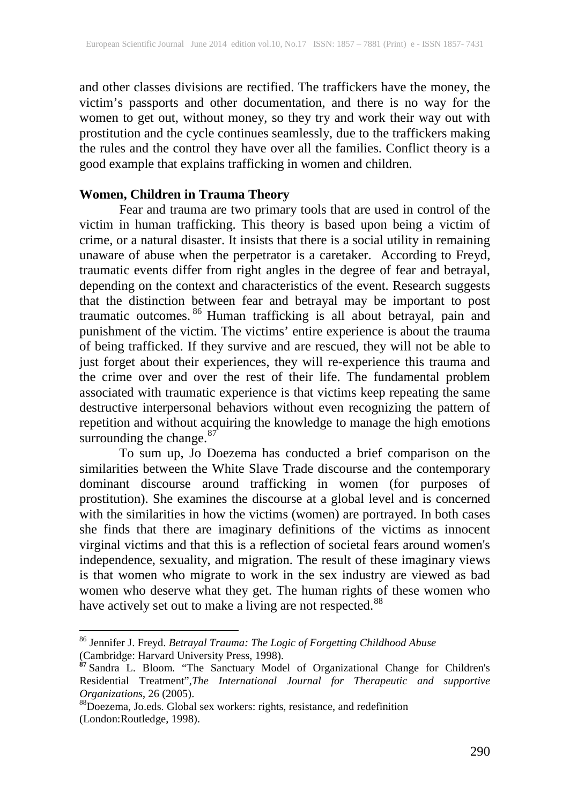and other classes divisions are rectified. The traffickers have the money, the victim's passports and other documentation, and there is no way for the women to get out, without money, so they try and work their way out with prostitution and the cycle continues seamlessly, due to the traffickers making the rules and the control they have over all the families. Conflict theory is a good example that explains trafficking in women and children.

# **Women, Children in Trauma Theory**

Fear and trauma are two primary tools that are used in control of the victim in human trafficking. This theory is based upon being a victim of crime, or a natural disaster. It insists that there is a social utility in remaining unaware of abuse when the perpetrator is a caretaker. According to Freyd, traumatic events differ from right angles in the degree of fear and betrayal, depending on the context and characteristics of the event. Research suggests that the distinction between fear and betrayal may be important to post traumatic outcomes. [86](#page-8-0) Human trafficking is all about betrayal, pain and punishment of the victim. The victims' entire experience is about the trauma of being trafficked. If they survive and are rescued, they will not be able to just forget about their experiences, they will re-experience this trauma and the crime over and over the rest of their life. The fundamental problem associated with traumatic experience is that victims keep repeating the same destructive interpersonal behaviors without even recognizing the pattern of repetition and without acquiring the knowledge to manage the high emotions surrounding the change.<sup>[87](#page-8-1)</sup>

To sum up, Jo Doezema has conducted a brief comparison on the similarities between the White Slave Trade discourse and the contemporary dominant discourse around trafficking in women (for purposes of prostitution). She examines the discourse at a global level and is concerned with the similarities in how the victims (women) are portrayed. In both cases she finds that there are imaginary definitions of the victims as innocent virginal victims and that this is a reflection of societal fears around women's independence, sexuality, and migration. The result of these imaginary views is that women who migrate to work in the sex industry are viewed as bad women who deserve what they get. The human rights of these women who have actively set out to make a living are not respected.<sup>[88](#page-8-2)</sup>

<span id="page-8-0"></span><sup>86</sup> Jennifer J. Freyd. *Betrayal Trauma: The Logic of Forgetting Childhood Abuse*

<span id="page-8-1"></span><sup>(</sup>Cambridge: Harvard University Press, 1998). **<sup>87</sup>** Sandra L. Bloom. "The Sanctuary Model of Organizational Change for Children's Residential Treatment",*The International Journal for Therapeutic and supportive Organizations*, 26 (2005).<br><sup>88</sup>Doezema, Jo.eds. Global sex workers: rights, resistance, and redefinition

<span id="page-8-2"></span><sup>(</sup>London:Routledge, 1998).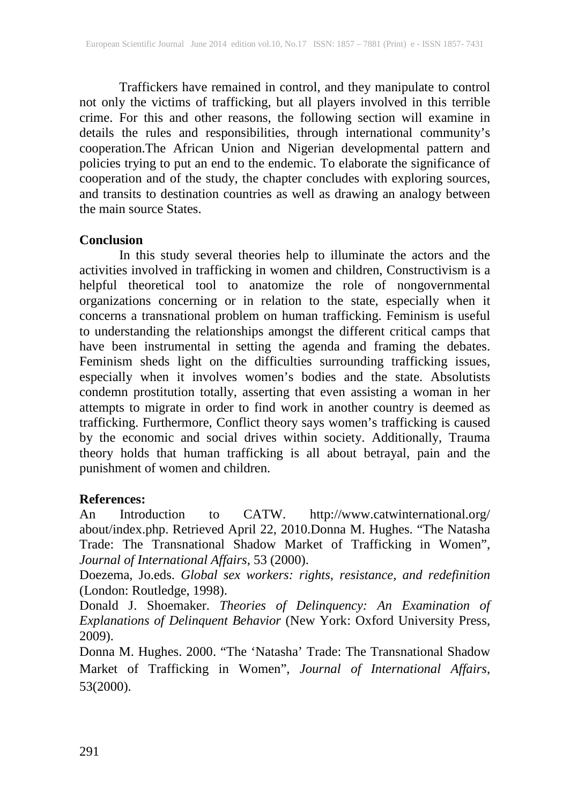Traffickers have remained in control, and they manipulate to control not only the victims of trafficking, but all players involved in this terrible crime. For this and other reasons, the following section will examine in details the rules and responsibilities, through international community's cooperation.The African Union and Nigerian developmental pattern and policies trying to put an end to the endemic. To elaborate the significance of cooperation and of the study, the chapter concludes with exploring sources, and transits to destination countries as well as drawing an analogy between the main source States.

#### **Conclusion**

In this study several theories help to illuminate the actors and the activities involved in trafficking in women and children, Constructivism is a helpful theoretical tool to anatomize the role of nongovernmental organizations concerning or in relation to the state, especially when it concerns a transnational problem on human trafficking. Feminism is useful to understanding the relationships amongst the different critical camps that have been instrumental in setting the agenda and framing the debates. Feminism sheds light on the difficulties surrounding trafficking issues, especially when it involves women's bodies and the state. Absolutists condemn prostitution totally, asserting that even assisting a woman in her attempts to migrate in order to find work in another country is deemed as trafficking. Furthermore, Conflict theory says women's trafficking is caused by the economic and social drives within society. Additionally, Trauma theory holds that human trafficking is all about betrayal, pain and the punishment of women and children.

#### **References:**

An Introduction to CATW. http://www.catwinternational.org/ about/index.php. Retrieved April 22, 2010.Donna M. Hughes. "The Natasha Trade: The Transnational Shadow Market of Trafficking in Women", *Journal of International Affairs*, 53 (2000).

Doezema, Jo.eds. *Global sex workers: rights, resistance, and redefinition* (London: Routledge, 1998).

Donald J. Shoemaker. *Theories of Delinquency: An Examination of Explanations of Delinquent Behavior* (New York: Oxford University Press, 2009).

Donna M. Hughes. 2000. "The 'Natasha' Trade: The Transnational Shadow Market of Trafficking in Women", *Journal of International Affairs*, 53(2000).